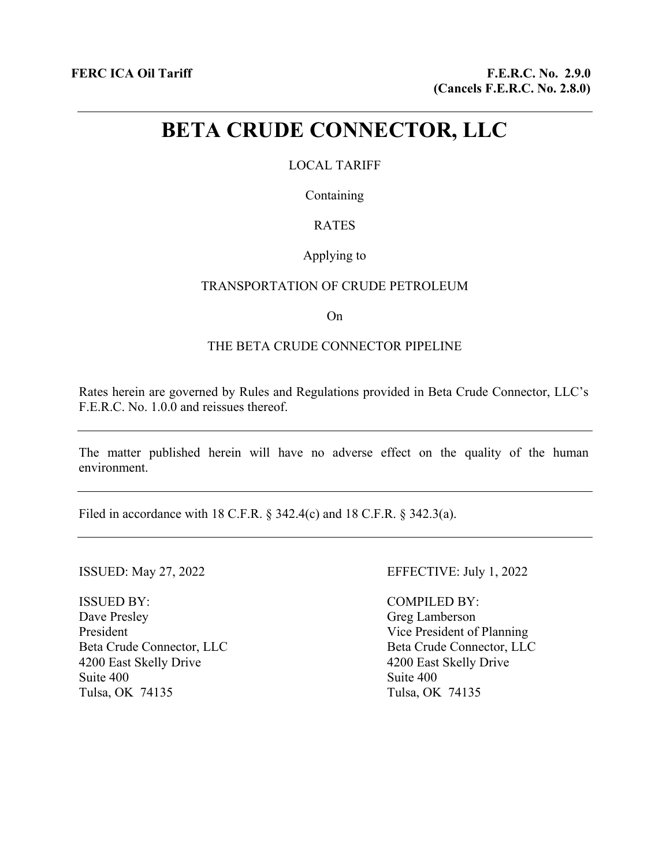# **BETA CRUDE CONNECTOR, LLC**

# LOCAL TARIFF

Containing

# RATES

# Applying to

#### TRANSPORTATION OF CRUDE PETROLEUM

On

# THE BETA CRUDE CONNECTOR PIPELINE

Rates herein are governed by Rules and Regulations provided in Beta Crude Connector, LLC's F.E.R.C. No. 1.0.0 and reissues thereof.

The matter published herein will have no adverse effect on the quality of the human environment.

Filed in accordance with 18 C.F.R. § 342.4(c) and 18 C.F.R. § 342.3(a).

ISSUED BY: Dave Presley President Beta Crude Connector, LLC 4200 East Skelly Drive Suite 400 Tulsa, OK 74135

## ISSUED: May 27, 2022 EFFECTIVE: July 1, 2022

COMPILED BY: Greg Lamberson Vice President of Planning Beta Crude Connector, LLC 4200 East Skelly Drive Suite 400 Tulsa, OK 74135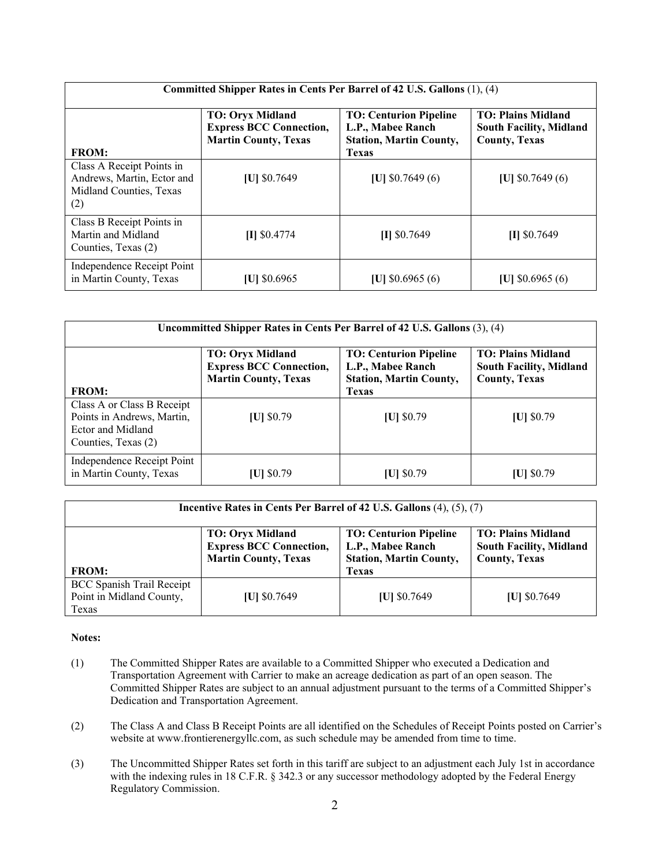| Committed Shipper Rates in Cents Per Barrel of 42 U.S. Gallons (1), (4)                   |                                                                                          |                                                                                                      |                                                                                     |  |  |
|-------------------------------------------------------------------------------------------|------------------------------------------------------------------------------------------|------------------------------------------------------------------------------------------------------|-------------------------------------------------------------------------------------|--|--|
| <b>FROM:</b>                                                                              | <b>TO: Oryx Midland</b><br><b>Express BCC Connection,</b><br><b>Martin County, Texas</b> | <b>TO: Centurion Pipeline</b><br>L.P., Mabee Ranch<br><b>Station, Martin County,</b><br><b>Texas</b> | <b>TO: Plains Midland</b><br><b>South Facility, Midland</b><br><b>County, Texas</b> |  |  |
| Class A Receipt Points in<br>Andrews, Martin, Ector and<br>Midland Counties, Texas<br>(2) | [U] \$0.7649                                                                             | [U] $$0.7649(6)$                                                                                     | [U] $$0.7649(6)$                                                                    |  |  |
| Class B Receipt Points in<br>Martin and Midland<br>Counties, Texas (2)                    | $II$ \$0.4774                                                                            | $II$ \$0.7649                                                                                        | $II$ \$0.7649                                                                       |  |  |
| Independence Receipt Point<br>in Martin County, Texas                                     | $ U $ \$0.6965                                                                           | [U] $$0.6965(6)$                                                                                     | [U] $$0.6965(6)$                                                                    |  |  |

| Uncommitted Shipper Rates in Cents Per Barrel of 42 U.S. Gallons (3), (4)                            |                                                                                          |                                                                                                      |                                                                                     |  |  |
|------------------------------------------------------------------------------------------------------|------------------------------------------------------------------------------------------|------------------------------------------------------------------------------------------------------|-------------------------------------------------------------------------------------|--|--|
| <b>FROM:</b>                                                                                         | <b>TO: Oryx Midland</b><br><b>Express BCC Connection,</b><br><b>Martin County, Texas</b> | <b>TO: Centurion Pipeline</b><br>L.P., Mabee Ranch<br><b>Station, Martin County,</b><br><b>Texas</b> | <b>TO: Plains Midland</b><br><b>South Facility, Midland</b><br><b>County, Texas</b> |  |  |
| Class A or Class B Receipt<br>Points in Andrews, Martin,<br>Ector and Midland<br>Counties, Texas (2) | $ U $ \$0.79                                                                             | $ U $ \$0.79                                                                                         | $ U $ \$0.79                                                                        |  |  |
| Independence Receipt Point<br>in Martin County, Texas                                                | [U] \$0.79                                                                               | $ U $ \$0.79                                                                                         | [U] $$0.79$                                                                         |  |  |

| Incentive Rates in Cents Per Barrel of 42 U.S. Gallons (4), (5), (7)  |                                                                                          |                                                                                      |                                                                                     |  |  |
|-----------------------------------------------------------------------|------------------------------------------------------------------------------------------|--------------------------------------------------------------------------------------|-------------------------------------------------------------------------------------|--|--|
|                                                                       | <b>TO: Oryx Midland</b><br><b>Express BCC Connection,</b><br><b>Martin County, Texas</b> | <b>TO: Centurion Pipeline</b><br>L.P., Mabee Ranch<br><b>Station, Martin County,</b> | <b>TO: Plains Midland</b><br><b>South Facility, Midland</b><br><b>County, Texas</b> |  |  |
| <b>FROM:</b>                                                          |                                                                                          | <b>Texas</b>                                                                         |                                                                                     |  |  |
| <b>BCC Spanish Trail Receipt</b><br>Point in Midland County,<br>Texas | $ U $ \$0.7649                                                                           | $ U $ \$0.7649                                                                       | $ U $ \$0.7649                                                                      |  |  |

#### **Notes:**

- (1) The Committed Shipper Rates are available to a Committed Shipper who executed a Dedication and Transportation Agreement with Carrier to make an acreage dedication as part of an open season. The Committed Shipper Rates are subject to an annual adjustment pursuant to the terms of a Committed Shipper's Dedication and Transportation Agreement.
- (2) The Class A and Class B Receipt Points are all identified on the Schedules of Receipt Points posted on Carrier's website at www.frontierenergyllc.com, as such schedule may be amended from time to time.
- (3) The Uncommitted Shipper Rates set forth in this tariff are subject to an adjustment each July 1st in accordance with the indexing rules in 18 C.F.R. § 342.3 or any successor methodology adopted by the Federal Energy Regulatory Commission.